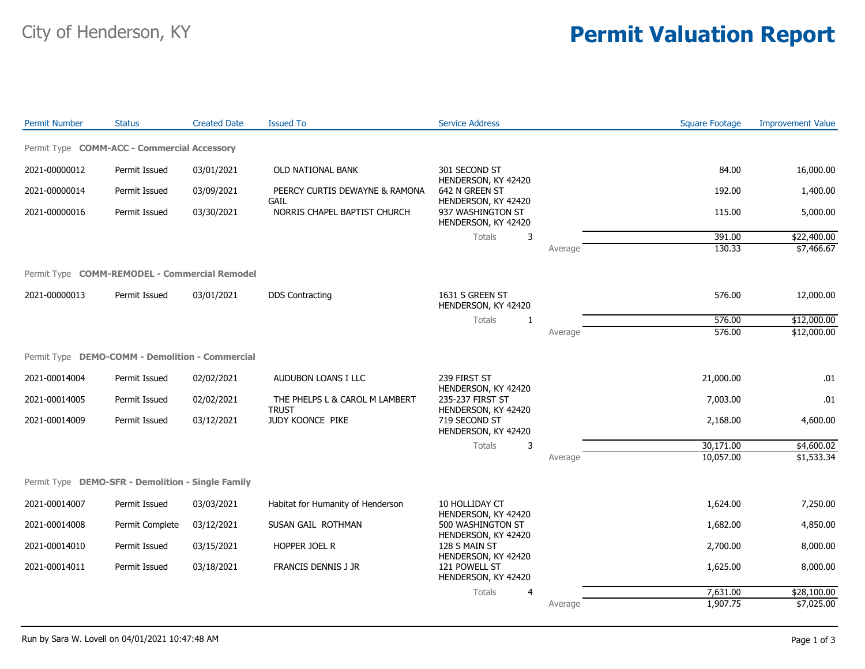## City of Henderson, KY **Permit Valuation Report**

| <b>Permit Number</b> | <b>Status</b>                                                                              | <b>Created Date</b>                      | <b>Issued To</b>                  | <b>Service Address</b>                                                           |          | <b>Square Footage</b> | <b>Improvement Value</b> |
|----------------------|--------------------------------------------------------------------------------------------|------------------------------------------|-----------------------------------|----------------------------------------------------------------------------------|----------|-----------------------|--------------------------|
|                      | Permit Type COMM-ACC - Commercial Accessory                                                |                                          |                                   |                                                                                  |          |                       |                          |
| 2021-00000012        | Permit Issued                                                                              | 03/01/2021                               | OLD NATIONAL BANK                 | 301 SECOND ST                                                                    |          | 84.00                 | 16,000.00                |
| 2021-00000014        | Permit Issued                                                                              | 03/09/2021                               | PEERCY CURTIS DEWAYNE & RAMONA    | HENDERSON, KY 42420<br>642 N GREEN ST                                            |          | 192.00                | 1,400.00                 |
| 2021-00000016        | HENDERSON, KY 42420<br>GAIL<br>NORRIS CHAPEL BAPTIST CHURCH<br>Permit Issued<br>03/30/2021 | 937 WASHINGTON ST<br>HENDERSON, KY 42420 |                                   | 115.00                                                                           | 5,000.00 |                       |                          |
|                      |                                                                                            |                                          |                                   | Totals<br>3                                                                      |          | 391.00                | \$22,400.00              |
|                      |                                                                                            |                                          |                                   |                                                                                  | Average  | 130.33                | \$7,466.67               |
|                      | Permit Type COMM-REMODEL - Commercial Remodel                                              |                                          |                                   |                                                                                  |          |                       |                          |
| 2021-00000013        | Permit Issued                                                                              | 03/01/2021                               | <b>DDS Contracting</b>            | 1631 S GREEN ST<br>HENDERSON, KY 42420                                           |          | 576.00                | 12,000.00                |
|                      |                                                                                            |                                          |                                   | Totals<br>-1                                                                     |          | $\overline{576.00}$   | \$12,000.00              |
|                      |                                                                                            |                                          |                                   |                                                                                  | Average  | 576.00                | \$12,000.00              |
|                      | Permit Type DEMO-COMM - Demolition - Commercial                                            |                                          |                                   |                                                                                  |          |                       |                          |
| 2021-00014004        | Permit Issued                                                                              | 02/02/2021                               | AUDUBON LOANS I LLC               | 239 FIRST ST<br>HENDERSON, KY 42420                                              |          | 21,000.00             | .01                      |
| 2021-00014005        | Permit Issued                                                                              | 02/02/2021                               | THE PHELPS L & CAROL M LAMBERT    | 235-237 FIRST ST                                                                 |          | 7,003.00              | .01                      |
| 2021-00014009        | Permit Issued                                                                              | 03/12/2021                               | <b>TRUST</b><br>JUDY KOONCE PIKE  | HENDERSON, KY 42420<br>719 SECOND ST<br>HENDERSON, KY 42420                      |          | 2,168.00              | 4,600.00                 |
|                      |                                                                                            |                                          |                                   | Totals<br>3                                                                      |          | 30,171.00             | \$4,600.02               |
|                      |                                                                                            |                                          |                                   |                                                                                  | Average  | 10,057.00             | \$1,533.34               |
|                      | Permit Type DEMO-SFR - Demolition - Single Family                                          |                                          |                                   |                                                                                  |          |                       |                          |
| 2021-00014007        | Permit Issued                                                                              | 03/03/2021                               | Habitat for Humanity of Henderson | 10 HOLLIDAY CT                                                                   |          | 1,624.00              | 7,250.00                 |
| 2021-00014008        | Permit Complete                                                                            | 03/12/2021                               | SUSAN GAIL ROTHMAN                | HENDERSON, KY 42420<br>500 WASHINGTON ST<br>HENDERSON, KY 42420<br>128 S MAIN ST |          | 1,682.00              | 4,850.00                 |
| 2021-00014010        | Permit Issued                                                                              | 03/15/2021                               | HOPPER JOEL R                     |                                                                                  |          | 2,700.00              | 8,000.00                 |
| 2021-00014011        | Permit Issued                                                                              | 03/18/2021                               | FRANCIS DENNIS J JR               | HENDERSON, KY 42420<br>121 POWELL ST<br>HENDERSON, KY 42420                      |          | 1,625.00              | 8,000.00                 |
|                      |                                                                                            |                                          |                                   | Totals<br>$\overline{4}$                                                         |          | 7,631.00              | \$28,100.00              |
|                      |                                                                                            |                                          |                                   |                                                                                  | Average  | 1,907.75              | \$7,025.00               |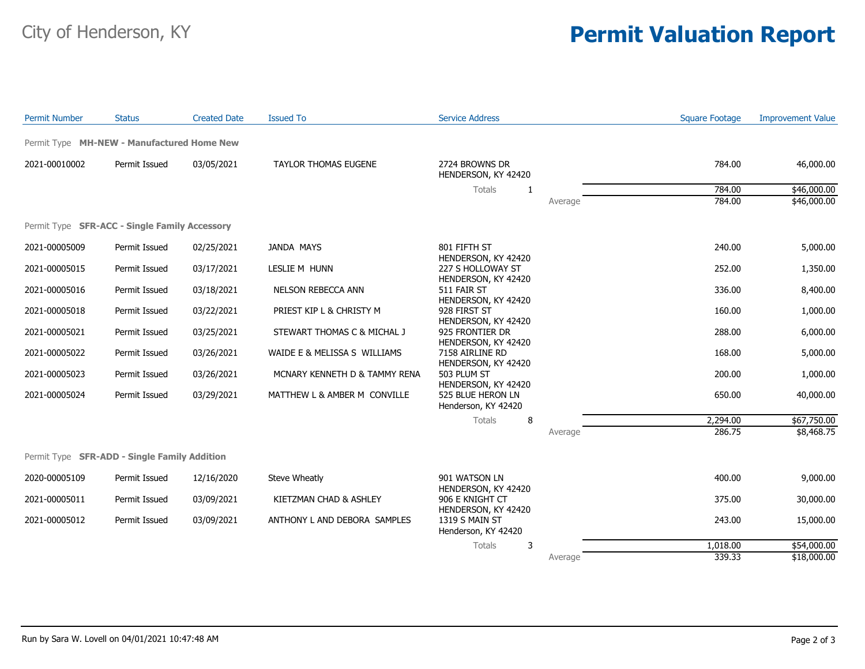## City of Henderson, KY **Permit Valuation Report**

| <b>Permit Number</b> | <b>Status</b>                                 | <b>Created Date</b> | <b>Issued To</b>              | <b>Service Address</b>                                          |         | <b>Square Footage</b> | <b>Improvement Value</b> |
|----------------------|-----------------------------------------------|---------------------|-------------------------------|-----------------------------------------------------------------|---------|-----------------------|--------------------------|
|                      | Permit Type MH-NEW - Manufactured Home New    |                     |                               |                                                                 |         |                       |                          |
| 2021-00010002        | Permit Issued                                 | 03/05/2021          | <b>TAYLOR THOMAS EUGENE</b>   | 2724 BROWNS DR<br>HENDERSON, KY 42420                           |         | 784.00                | 46,000.00                |
|                      |                                               |                     |                               | Totals<br>1                                                     |         | 784.00                | \$46,000.00              |
|                      |                                               |                     |                               |                                                                 | Average | 784.00                | \$46,000.00              |
|                      | Permit Type SFR-ACC - Single Family Accessory |                     |                               |                                                                 |         |                       |                          |
| 2021-00005009        | Permit Issued                                 | 02/25/2021          | <b>JANDA MAYS</b>             | 801 FIFTH ST<br>HENDERSON, KY 42420                             |         | 240.00                | 5,000.00                 |
| 2021-00005015        | Permit Issued                                 | 03/17/2021          | LESLIE M HUNN                 | 227 S HOLLOWAY ST<br>HENDERSON, KY 42420                        |         | 252.00                | 1,350.00                 |
| 2021-00005016        | Permit Issued                                 | 03/18/2021          | NELSON REBECCA ANN            | 511 FAIR ST<br>HENDERSON, KY 42420                              |         | 336.00                | 8,400.00                 |
| 2021-00005018        | Permit Issued                                 | 03/22/2021          | PRIEST KIP L & CHRISTY M      | 928 FIRST ST                                                    |         | 160.00                | 1,000.00                 |
| 2021-00005021        | Permit Issued                                 | 03/25/2021          | STEWART THOMAS C & MICHAL J   | HENDERSON, KY 42420<br>925 FRONTIER DR                          |         | 288.00                | 6,000.00                 |
| 2021-00005022        | Permit Issued                                 | 03/26/2021          | WAIDE E & MELISSA S WILLIAMS  | HENDERSON, KY 42420<br>7158 AIRLINE RD                          |         | 168.00                | 5,000.00                 |
| 2021-00005023        | Permit Issued                                 | 03/26/2021          | MCNARY KENNETH D & TAMMY RENA | HENDERSON, KY 42420<br>503 PLUM ST                              |         | 200.00                | 1,000.00                 |
| 2021-00005024        | Permit Issued                                 | 03/29/2021          | MATTHEW L & AMBER M CONVILLE  | HENDERSON, KY 42420<br>525 BLUE HERON LN<br>Henderson, KY 42420 |         | 650.00                | 40,000.00                |
|                      |                                               |                     |                               | 8<br>Totals                                                     |         | 2,294.00              | \$67,750.00              |
|                      |                                               |                     |                               |                                                                 | Average | 286.75                | \$8,468.75               |
|                      | Permit Type SFR-ADD - Single Family Addition  |                     |                               |                                                                 |         |                       |                          |
| 2020-00005109        | Permit Issued                                 | 12/16/2020          | Steve Wheatly                 | 901 WATSON LN                                                   |         | 400.00                | 9,000.00                 |
| 2021-00005011        | Permit Issued                                 | 03/09/2021          | KIETZMAN CHAD & ASHLEY        | HENDERSON, KY 42420<br>906 E KNIGHT CT                          |         | 375.00                | 30,000.00                |
| 2021-00005012        | Permit Issued                                 | 03/09/2021          | ANTHONY L AND DEBORA SAMPLES  | HENDERSON, KY 42420<br>1319 S MAIN ST<br>Henderson, KY 42420    |         | 243.00                | 15,000.00                |
|                      |                                               |                     |                               | 3<br>Totals                                                     |         | 1,018.00              | \$54,000.00              |
|                      |                                               |                     |                               |                                                                 | Average | 339.33                | \$18,000.00              |